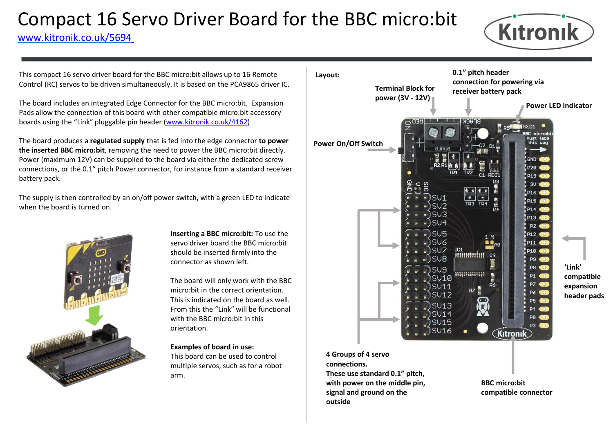# Compact 16 Servo Driver Board for the BBC micro:<br>
WWW.kitronik.co.uk/5694<br>
This compact 16 servo driver board for the BBC micro:bit allows up to 16 Remote<br>
Control (RC) servos to be driven simultaneously. It is based on t Compact 16 Servo Driver Board for the BBC micro:bit Kitronik

www.kitronik.co.uk/5694

Control (RC) servos to be driven simultaneously. It is based on the PCA9865 driver IC.

The board includes an integrated Edge Connector for the BBC micro:bit. Expansion boards using the "Link" pluggable pin header (www.kitronik.co.uk/4162)

The board produces a regulated supply that is fed into the edge connector to power the inserted BBC micro:bit, removing the need to power the BBC micro:bit directly. Power (maximum 12V) can be supplied to the board via either the dedicated screw connections, or the 0.1" pitch Power connector, for instance from a standard receiver battery pack.

The supply is then controlled by an on/off power switch, with a green LED to indicate when the board is turned on.



Inserting a BBC micro:bit: To use the servo driver board the BBC micro:bit should be inserted firmly into the connector as shown left.

The board will only work with the BBC This is indicated on the board as well. From this the "Link" will be functional orientation.

## Examples of board in use:

This board can be used to control multiple servos, such as for a robot arm.



connections. These use standard 0.1" pitch, with power on the middle pin, signal and ground on the outside

BBC micro:bit compatible connector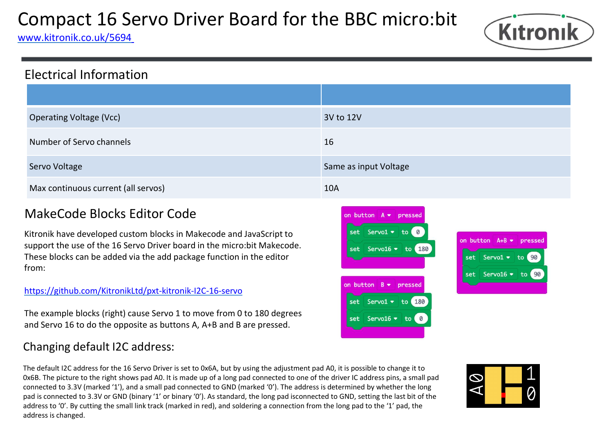# Compact 16 Servo Driver Board for the BBC micro:bit Kitronik

www.kitronik.co.uk/5694



# Electrical Information

| Compact 16 Servo Driver Board for the BBC micro:bit<br>Kitronik<br>ww.kitronik.co.uk/5694                                                                                                                                                                                                                                          |                                                                                                                                                                                                                   |
|------------------------------------------------------------------------------------------------------------------------------------------------------------------------------------------------------------------------------------------------------------------------------------------------------------------------------------|-------------------------------------------------------------------------------------------------------------------------------------------------------------------------------------------------------------------|
| <b>Electrical Information</b>                                                                                                                                                                                                                                                                                                      |                                                                                                                                                                                                                   |
|                                                                                                                                                                                                                                                                                                                                    |                                                                                                                                                                                                                   |
| <b>Operating Voltage (Vcc)</b>                                                                                                                                                                                                                                                                                                     | 3V to 12V                                                                                                                                                                                                         |
| Number of Servo channels                                                                                                                                                                                                                                                                                                           | 16                                                                                                                                                                                                                |
| Servo Voltage                                                                                                                                                                                                                                                                                                                      | Same as input Voltage                                                                                                                                                                                             |
| Max continuous current (all servos)                                                                                                                                                                                                                                                                                                | <b>10A</b>                                                                                                                                                                                                        |
| <b>MakeCode Blocks Editor Code</b><br>Kitronik have developed custom blocks in Makecode and JavaScript to<br>support the use of the 16 Servo Driver board in the micro: bit Makecode.<br>These blocks can be added via the add package function in the editor<br>from:<br>https://github.com/KitronikLtd/pxt-kitronik-I2C-16-servo | on button $A \bullet p$ ressed<br>Servo1 $\bullet$ to 0<br>on button $A+B$ $\bullet$ pressed<br>set Servo16 v to 180<br>Servo1 $\bullet$ to 90<br>set<br>Servo16 v to 90<br>set<br>on button $B \bullet p$ ressed |

# https://github.com/KitronikLtd/pxt-kitronik-I2C-16-servo

The example blocks (right) cause Servo 1 to move from 0 to 180 degrees  $\frac{1}{\sqrt{2}}\int_{\text{set}}^{\infty}$  Servo16  $\bullet$  to and Servo 16 to do the opposite as buttons A, A+B and B are pressed.

# Changing default I2C address:

Max continuous current (all servos)<br>
WakeCode Blocks Editor Code<br>
Sittonik have developed custom blocks in Makecode and JavaScript to<br>
sure Servois  $\star$  to 0x6<br>
These blocks can be added via the add package function in th MakeCode Blocks Editor Code<br>
support the use of the 16 Servo Driver board in the micro:bit Makecode.<br>
These blocks can be added via the add package function in the editor<br>
The example blocks (right) cause Servo 1 to move connected to 3.3V (marked '1'), and a small pad connected to GND (marked '0'). The address is determined by whether the long **IVIENCE COOLE DIOCKS ECILIOT COOLE**<br>
SERVISION the value of the 16 Servo Driver bond in the micro:bit Makecode.<br>
These blocks can be added via the add package function in the editor<br>
Intersection is connected to 3.3V or Address to the 16 Servo Driver board in the microchit Makecode.<br>
These blocks can be added via the add package function in the editor<br>
The example blocks (right) cause Servo 1 to move from 0 to 180 degrees<br>
and Servo 16 to address is changed.